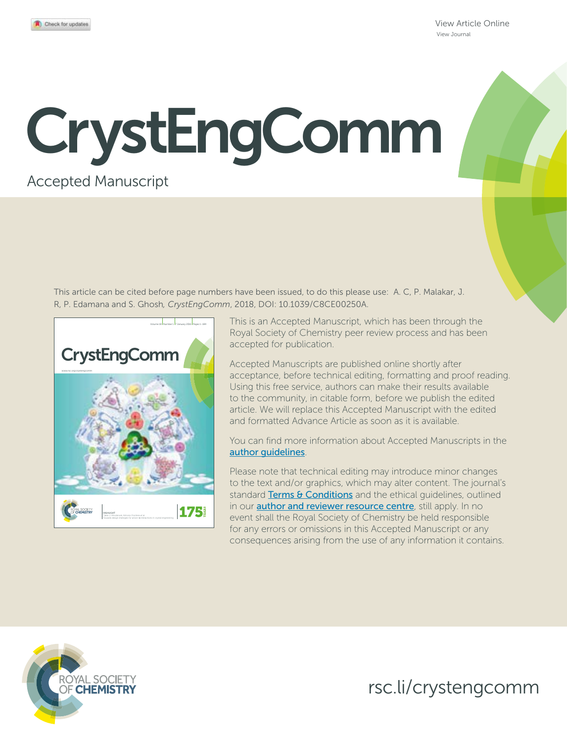View Article Online View Journal

# CrystEngComm

### Accepted Manuscript

This article can be cited before page numbers have been issued, to do this please use: A. C, P. Malakar, J. R, P. Edamana and S. Ghosh*, CrystEngComm*, 2018, DOI: 10.1039/C8CE00250A.



This is an Accepted Manuscript, which has been through the Royal Society of Chemistry peer review process and has been accepted for publication.

Accepted Manuscripts are published online shortly after acceptance, before technical editing, formatting and proof reading. Using this free service, authors can make their results available to the community, in citable form, before we publish the edited article. We will replace this Accepted Manuscript with the edited and formatted Advance Article as soon as it is available.

You can find more information about Accepted Manuscripts in the author guidelines.

Please note that technical editing may introduce minor changes to the text and/or graphics, which may alter content. The journal's standard Terms & Conditions and the ethical quidelines, outlined in our **author and reviewer resource centre**, still apply. In no event shall the Royal Society of Chemistry be held responsible for any errors or omissions in this Accepted Manuscript or any consequences arising from the use of any information it contains.



rsc.li/crystengcomm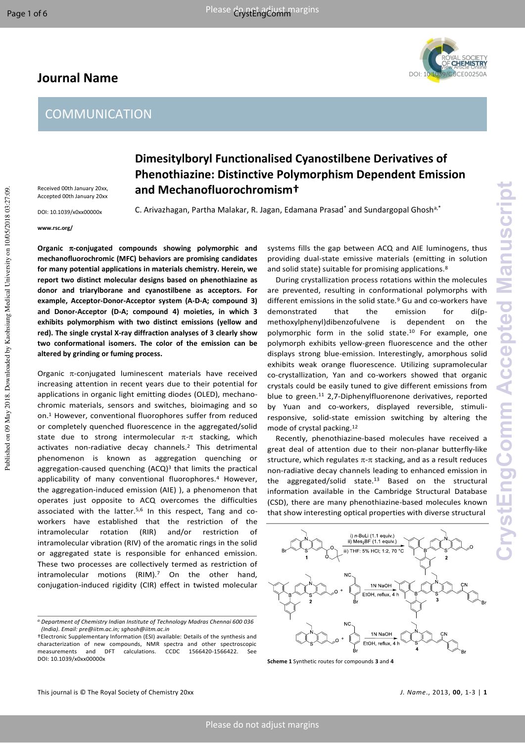# **Journal Name**



# **Dimesitylboryl Functionalised Cyanostilbene Derivatives of Phenothiazine: Distinctive Polymorphism Dependent Emission and Mechanofluorochromism†**

C. Arivazhagan, Partha Malakar, R. Jagan, Edamana Prasad<sup>\*</sup> and Sundargopal Ghosh<sup>a,\*</sup>

**www.rsc.org/** 

Published on 09 May 2018. Downloaded by Kaohsiung Medical University on 10/05/2018 03:27:09.

Published on 09 May 2018. Downloaded by Kaohsiung Medical University on 10/05/2018 03:27:09.

Received 00th January 20xx, Accepted 00th January 20xx DOI: 10.1039/x0xx00000x

**Organic -conjugated compounds showing polymorphic and mechanofluorochromic (MFC) behaviors are promising candidates for many potential applications in materials chemistry. Herein, we report two distinct molecular designs based on phenothiazine as donor and triarylborane and cyanostilbene as acceptors. For example, Acceptor-Donor-Acceptor system (A-D-A; compound 3) and Donor-Acceptor (D-A; compound 4) moieties, in which 3 exhibits polymorphism with two distinct emissions (yellow and red). The single crystal X-ray diffraction analyses of 3 clearly show two conformational isomers. The color of the emission can be altered by grinding or fuming process.** 

Organic  $\pi$ -conjugated luminescent materials have received increasing attention in recent years due to their potential for applications in organic light emitting diodes (OLED), mechanochromic materials, sensors and switches, bioimaging and so on. 1 However, conventional fluorophores suffer from reduced or completely quenched fluorescence in the aggregated/solid state due to strong intermolecular  $\pi$ - $\pi$  stacking, which activates non-radiative decay channels.<sup>2</sup> This detrimental phenomenon is known as aggregation quenching or aggregation-caused quenching (ACQ)<sup>3</sup> that limits the practical applicability of many conventional fluorophores.<sup>4</sup> However, the aggregation-induced emission (AIE) ), a phenomenon that operates just opposite to ACQ overcomes the difficulties associated with the latter. $5,6$  In this respect, Tang and coworkers have established that the restriction of the intramolecular rotation (RIR) and/or restriction of intramolecular vibration (RIV) of the aromatic rings in the solid or aggregated state is responsible for enhanced emission. These two processes are collectively termed as restriction of intramolecular motions (RIM).<sup>7</sup> On the other hand, conjugation-induced rigidity (CIR) effect in twisted molecular

systems fills the gap between ACQ and AIE luminogens, thus providing dual-state emissive materials (emitting in solution and solid state) suitable for promising applications.<sup>8</sup>

During crystallization process rotations within the molecules are prevented, resulting in conformational polymorphs with different emissions in the solid state. $9$  Gu and co-workers have demonstrated that the emission for di(pmethoxylphenyl)dibenzofulvene is dependent on the polymorphic form in the solid state.<sup>10</sup> For example, one polymorph exhibits yellow-green fluorescence and the other displays strong blue-emission. Interestingly, amorphous solid exhibits weak orange fluorescence. Utilizing supramolecular co-crystallization, Yan and co-workers showed that organic crystals could be easily tuned to give different emissions from blue to green.<sup>11</sup> 2,7-Diphenylfluorenone derivatives, reported by Yuan and co-workers, displayed reversible, stimuliresponsive, solid-state emission switching by altering the mode of crystal packing.<sup>12</sup>

Recently, phenothiazine-based molecules have received a great deal of attention due to their non-planar butterfly-like structure, which regulates  $\pi$ - $\pi$  stacking, and as a result reduces non-radiative decay channels leading to enhanced emission in the aggregated/solid state.13 Based on the structural information available in the Cambridge Structural Database (CSD), there are many phenothiazine-based molecules known that show interesting optical properties with diverse structural



**Scheme 1** Synthetic routes for compounds **3** and **4** 

*a.Department of Chemistry Indian Institute of Technology Madras Chennai 600 036 (India). Email: pre@iitm.ac.in; sghosh@iitm.ac.in* 

<sup>†</sup>Electronic Supplementary Information (ESI) available: Details of the synthesis and characterization of new compounds, NMR spectra and other spectroscopic calculations. CCDC 1566420-1566422. See DOI: 10.1039/x0xx00000x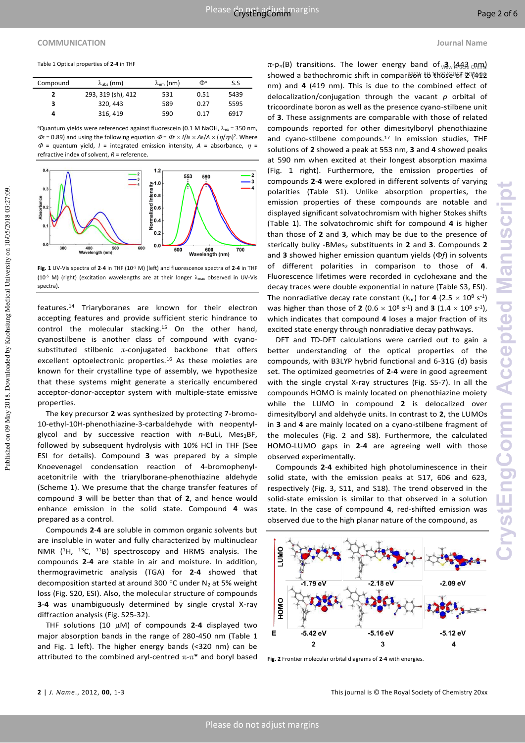### **COMMUNICATION Journal Name**

Published on 09 May 2018. Downloaded by Kaohsiung Medical University on 10/05/2018 03:27:09.

Published on 09 May 2018. Downloaded by Kaohsiung Medical University on 10/05/2018 03:27:09.

Table 1 Optical properties of **2**-**4** in THF

| Compound | $\lambda_{\text{abs}}$ (nm) | $\lambda_{em}$ (nm) | Фа   | S.S  |
|----------|-----------------------------|---------------------|------|------|
| 2        | 293, 319 (sh), 412          | 531                 | 0.51 | 5439 |
| 3        | 320.443                     | 589                 | 0.27 | 5595 |
| 4        | 316, 419                    | 590                 | 0.17 | 6917 |
|          |                             |                     |      |      |

aQuantum yields were referenced against fluorescein (0.1 M NaOH,  $\lambda_{ex}$  = 350 nm,  $\Phi = 0.89$ ) and using the following equation  $\Phi = \Phi_F \times I/I_R \times A_R/A \times (\eta/\eta_R)^2$ . Where  $\Phi$  = quantum yield, *I* = integrated emission intensity, *A* = absorbance,  $\eta$  = refractive index of solvent, *R* = reference.



**Fig. 1** UV-Vis spectra of **2**-**4** in THF (10-5 M) (left) and fluorescence spectra of **2**-**4** in THF (10<sup>-5</sup> M) (right) (excitation wavelengths are at their longer  $\lambda_{\text{max}}$  observed in UV-Vis spectra).

features.14 Triaryboranes are known for their electron accepting features and provide sufficient steric hindrance to control the molecular stacking.15 On the other hand, cyanostilbene is another class of compound with cyanosubstituted stilbenic  $\pi$ -conjugated backbone that offers excellent optoelectronic properties.16 As these moieties are known for their crystalline type of assembly, we hypothesize that these systems might generate a sterically encumbered acceptor-donor-acceptor system with multiple-state emissive properties.

The key precursor **2** was synthesized by protecting 7-bromo-10-ethyl-10H-phenothiazine-3-carbaldehyde with neopentylglycol and by successive reaction with n-BuLi, Mes<sub>2</sub>BF, followed by subsequent hydrolysis with 10% HCl in THF (See ESI for details). Compound **3** was prepared by a simple Knoevenagel condensation reaction of 4-bromophenylacetonitrile with the triarylborane-phenothiazine aldehyde (Scheme 1). We presume that the charge transfer features of compound **3** will be better than that of **2**, and hence would enhance emission in the solid state. Compound **4** was prepared as a control.

Compounds **2**-**4** are soluble in common organic solvents but are insoluble in water and fully characterized by multinuclear NMR (1H, 13C, 11B) spectroscopy and HRMS analysis. The compounds **2**-**4** are stable in air and moisture. In addition, thermogravimetric analysis (TGA) for **2**-**4** showed that decomposition started at around 300 °C under N<sub>2</sub> at 5% weight loss (Fig. S20, ESI). Also, the molecular structure of compounds **3**-**4** was unambiguously determined by single crystal X-ray diffraction analysis (Fig. S25-32).

THF solutions (10  $\mu$ M) of compounds 2-4 displayed two major absorption bands in the range of 280-450 nm (Table 1 and Fig. 1 left). The higher energy bands (<320 nm) can be attributed to the combined aryl-centred  $\pi$ - $\pi$ <sup>\*</sup> and boryl based

 $\pi$ -p $_\pi$ (B) transitions. The lower energy band of  $\sqrt{3}$  (443  $\pi$ ) showed a bathochromic shift in comparison to those of 2 (412 nm) and **4** (419 nm). This is due to the combined effect of delocalization/conjugation through the vacant *p* orbital of tricoordinate boron as well as the presence cyano-stilbene unit of **3**. These assignments are comparable with those of related compounds reported for other dimesitylboryl phenothiazine and cyano-stilbene compounds.17 In emission studies, THF solutions of **2** showed a peak at 553 nm, **3** and **4** showed peaks at 590 nm when excited at their longest absorption maxima (Fig. 1 right). Furthermore, the emission properties of compounds **2**-**4** were explored in different solvents of varying polarities (Table S1). Unlike absorption properties, the emission properties of these compounds are notable and displayed significant solvatochromism with higher Stokes shifts (Table 1). The solvatochromic shift for compound **4** is higher than those of **2** and **3**, which may be due to the presence of sterically bulky -BMes<sub>2</sub> substituents in 2 and 3. Compounds 2 and  $3$  showed higher emission quantum yields ( $\Phi f$ ) in solvents of different polarities in comparison to those of **4**. Fluorescence lifetimes were recorded in cyclohexane and the decay traces were double exponential in nature (Table S3, ESI). The nonradiative decay rate constant  $(k_{nr})$  for **4** (2.5  $\times$  10<sup>8</sup> s<sup>-1</sup>) was higher than those of **2** (0.6  $\times$  10<sup>8</sup> s<sup>-1</sup>) and **3** (1.4  $\times$  10<sup>8</sup> s<sup>-1</sup>), which indicates that compound **4** loses a major fraction of its excited state energy through nonradiative decay pathways.

DFT and TD-DFT calculations were carried out to gain a better understanding of the optical properties of the compounds, with B3LYP hybrid functional and 6-31G (d) basis set. The optimized geometries of **2**-**4** were in good agreement with the single crystal X-ray structures (Fig. S5-7). In all the compounds HOMO is mainly located on phenothiazine moiety while the LUMO in compound **2** is delocalized over dimesitylboryl and aldehyde units. In contrast to **2**, the LUMOs in **3** and **4** are mainly located on a cyano-stilbene fragment of the molecules (Fig. 2 and S8). Furthermore, the calculated HOMO-LUMO gaps in **2**-**4** are agreeing well with those observed experimentally.

Compounds **2**-**4** exhibited high photoluminescence in their solid state, with the emission peaks at 517, 606 and 623, respectively (Fig. 3, S11, and S18). The trend observed in the solid-state emission is similar to that observed in a solution state. In the case of compound **4**, red-shifted emission was observed due to the high planar nature of the compound, as



**Fig. 2** Frontier molecular orbital diagrams of **2**-**4** with energies.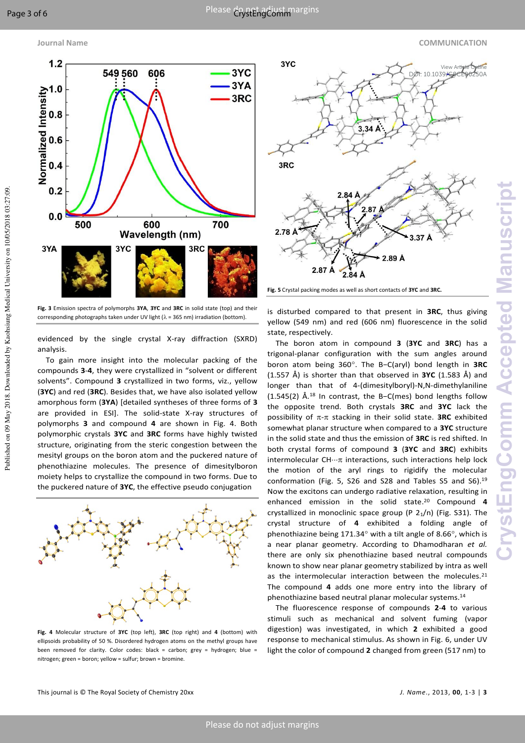Published on 09 May 2018. Downloaded by Kaohsiung Medical University on 10/05/2018 03:27:09.

Published on 09 May 2018. Downloaded by Kaohsiung Medical University on 10/05/2018 03:27:09.

### **Journal Name COMMUNICATION**



**Fig. 3** Emission spectra of polymorphs **3YA**, **3YC** and **3RC** in solid state (top) and their corresponding photographs taken under UV light ( $\lambda$  = 365 nm) irradiation (bottom).

evidenced by the single crystal X-ray diffraction (SXRD) analysis.

To gain more insight into the molecular packing of the compounds **3**-**4**, they were crystallized in "solvent or different solvents". Compound **3** crystallized in two forms, viz., yellow (**3YC**) and red (**3RC**). Besides that, we have also isolated yellow amorphous form (**3YA**) [detailed syntheses of three forms of **3** are provided in ESI]. The solid-state X-ray structures of polymorphs **3** and compound **4** are shown in Fig. 4. Both polymorphic crystals **3YC** and **3RC** forms have highly twisted structure, originating from the steric congestion between the mesityl groups on the boron atom and the puckered nature of phenothiazine molecules. The presence of dimesitylboron moiety helps to crystallize the compound in two forms. Due to the puckered nature of **3YC**, the effective pseudo conjugation



**Fig. 4** Molecular structure of **3YC** (top left), **3RC** (top right) and **4** (bottom) with ellipsoids probability of 50 %. Disordered hydrogen atoms on the methyl groups have been removed for clarity. Color codes: black = carbon; grey = hydrogen; blue = nitrogen; green = boron; yellow = sulfur; brown = bromine.



**Fig. 5** Crystal packing modes as well as short contacts of **3YC** and **3RC.**

is disturbed compared to that present in **3RC**, thus giving yellow (549 nm) and red (606 nm) fluorescence in the solid state, respectively.

The boron atom in compound **3** (**3YC** and **3RC**) has a trigonal-planar configuration with the sum angles around boron atom being 360. The B−C(aryl) bond length in **3RC** (1.557 Å) is shorter than that observed in **3YC** (1.583 Å) and longer than that of 4-(dimesitylboryl)-N,N-dimethylaniline (1.545(2) Å.<sup>18</sup> In contrast, the B−C(mes) bond lengths follow the opposite trend. Both crystals **3RC** and **3YC** lack the possibility of  $\pi$ - $\pi$  stacking in their solid state. **3RC** exhibited somewhat planar structure when compared to a **3YC** structure in the solid state and thus the emission of **3RC** is red shifted. In both crystal forms of compound **3** (**3YC** and **3RC**) exhibits intermolecular  $CH \cdots \pi$  interactions, such interactions help lock the motion of the aryl rings to rigidify the molecular conformation (Fig. 5, S26 and S28 and Tables S5 and S6).<sup>19</sup> Now the excitons can undergo radiative relaxation, resulting in enhanced emission in the solid state.20 Compound **4** crystallized in monoclinic space group (P  $2<sub>1</sub>/n$ ) (Fig. S31). The crystal structure of **4** exhibited a folding angle of phenothiazine being 171.34 $\textdegree$  with a tilt angle of 8.66 $\textdegree$ , which is a near planar geometry. According to Dhamodharan *et al.* there are only six phenothiazine based neutral compounds known to show near planar geometry stabilized by intra as well as the intermolecular interaction between the molecules.<sup>21</sup> The compound **4** adds one more entry into the library of phenothiazine based neutral planar molecular systems.<sup>14</sup>

The fluorescence response of compounds **2**-**4** to various stimuli such as mechanical and solvent fuming (vapor digestion) was investigated, in which **2** exhibited a good response to mechanical stimulus. As shown in Fig. 6, under UV light the color of compound **2** changed from green (517 nm) to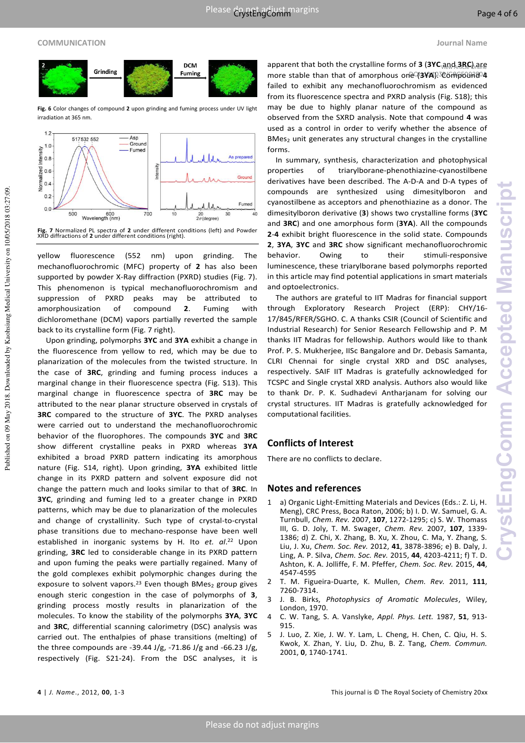### **COMMUNICATION Journal Name**

Published on 09 May 2018. Downloaded by Kaohsiung Medical University on 10/05/2018 03:27:09.

Published on 09 May 2018. Downloaded by Kaohsiung Medical University on 10/05/2018 03:27:09.

### **DCM** Grinding Fuming

**Fig. 6** Color changes of compound **2** upon grinding and fuming process under UV light irradiation at 365 nm.



**Fig. 7** Normalized PL spectra of **2** under different conditions (left) and Powder XRD diffractions of **2** under different conditions (right).

yellow fluorescence (552 nm) upon grinding. The mechanofluorochromic (MFC) property of **2** has also been supported by powder X-Ray diffraction (PXRD) studies (Fig. 7). This phenomenon is typical mechanofluorochromism and suppression of PXRD peaks may be attributed to amorphousization of compound **2**. Fuming with dichloromethane (DCM) vapors partially reverted the sample back to its crystalline form (Fig. 7 right).

Upon grinding, polymorphs **3YC** and **3YA** exhibit a change in the fluorescence from yellow to red, which may be due to planarization of the molecules from the twisted structure. In the case of **3RC**, grinding and fuming process induces a marginal change in their fluorescence spectra (Fig. S13). This marginal change in fluorescence spectra of **3RC** may be attributed to the near planar structure observed in crystals of **3RC** compared to the structure of **3YC**. The PXRD analyses were carried out to understand the mechanofluorochromic behavior of the fluorophores. The compounds **3YC** and **3RC** show different crystalline peaks in PXRD whereas **3YA** exhibited a broad PXRD pattern indicating its amorphous nature (Fig. S14, right). Upon grinding, **3YA** exhibited little change in its PXRD pattern and solvent exposure did not change the pattern much and looks similar to that of **3RC**. In **3YC**, grinding and fuming led to a greater change in PXRD patterns, which may be due to planarization of the molecules and change of crystallinity. Such type of crystal-to-crystal phase transitions due to mechano-response have been well established in inorganic systems by H. Ito *et. al*. <sup>22</sup> Upon grinding, **3RC** led to considerable change in its PXRD pattern and upon fuming the peaks were partially regained. Many of the gold complexes exhibit polymorphic changes during the exposure to solvent vapors.<sup>23</sup> Even though BMes<sub>2</sub> group gives enough steric congestion in the case of polymorphs of **3**, grinding process mostly results in planarization of the molecules. To know the stability of the polymorphs **3YA**, **3YC** and **3RC**, differential scanning calorimetry (DSC) analysis was carried out. The enthalpies of phase transitions (melting) of the three compounds are -39.44 J/g, -71.86 J/g and -66.23 J/g, respectively (Fig. S21-24). From the DSC analyses, it is

apparent that both the crystalline forms of 3 (3YC<sub>\</sub>and 3RC) are more stable than that of amorphous one (3YA).<sup>3</sup>@6mp60ma<sup>04</sup> failed to exhibit any mechanofluorochromism as evidenced from its fluorescence spectra and PXRD analysis (Fig. S18); this may be due to highly planar nature of the compound as observed from the SXRD analysis. Note that compound **4** was used as a control in order to verify whether the absence of BMes<sub>2</sub> unit generates any structural changes in the crystalline forms.

In summary, synthesis, characterization and photophysical properties of triarylborane-phenothiazine-cyanostilbene derivatives have been described. The A-D-A and D-A types of compounds are synthesized using dimesitylboron and cyanostilbene as acceptors and phenothiazine as a donor. The dimesitylboron derivative (**3**) shows two crystalline forms (**3YC** and **3RC**) and one amorphous form (**3YA**). All the compounds **2**-**4** exhibit bright fluorescence in the solid state. Compounds **2**, **3YA**, **3YC** and **3RC** show significant mechanofluorochromic behavior. Owing to their stimuli-responsive luminescence, these triarylborane based polymorphs reported in this article may find potential applications in smart materials and optoelectronics.

The authors are grateful to IIT Madras for financial support through Exploratory Research Project (ERP): CHY/16- 17/845/RFER/SGHO. C. A thanks CSIR (Council of Scientific and Industrial Research) for Senior Research Fellowship and P. M thanks IIT Madras for fellowship. Authors would like to thank Prof. P. S. Mukherjee, IISc Bangalore and Dr. Debasis Samanta, CLRI Chennai for single crystal XRD and DSC analyses, respectively. SAIF IIT Madras is gratefully acknowledged for TCSPC and Single crystal XRD analysis. Authors also would like to thank Dr. P. K. Sudhadevi Antharjanam for solving our crystal structures. IIT Madras is gratefully acknowledged for computational facilities.

### **Conflicts of Interest**

There are no conflicts to declare.

### **Notes and references**

- 1 a) Organic Light-Emitting Materials and Devices (Eds.: Z. Li, H. Meng), CRC Press, Boca Raton, 2006; b) I. D. W. Samuel, G. A. Turnbull, *Chem. Rev.* 2007, **107**, 1272-1295; c) S. W. Thomass III, G. D. Joly, T. M. Swager, *Chem. Rev.* 2007, **107**, 1339- 1386; d) Z. Chi, X. Zhang, B. Xu, X. Zhou, C. Ma, Y. Zhang, S. Liu, J. Xu, *Chem. Soc. Rev.* 2012, **41**, 3878-3896; e) B. Daly, J. Ling, A. P. Silva, *Chem. Soc. Rev.* 2015, **44**, 4203-4211; f) T. D. Ashton, K. A. Jolliffe, F. M. Pfeffer, *Chem. Soc. Rev.* 2015, **44**, 4547-4595
- 2 T. M. Figueira-Duarte, K. Mullen, *Chem. Rev.* 2011, **111**, 7260-7314.
- 3 J. B. Birks, *Photophysics of Aromatic Molecules*, Wiley, London, 1970.
- 4 C. W. Tang, S. A. Vanslyke, *Appl. Phys. Lett.* 1987, **51**, 913- 915.
- 5 J. Luo, Z. Xie, J. W. Y. Lam, L. Cheng, H. Chen, C. Qiu, H. S. Kwok, X. Zhan, Y. Liu, D. Zhu, B. Z. Tang, *Chem. Commun.* 2001, **0**, 1740-1741.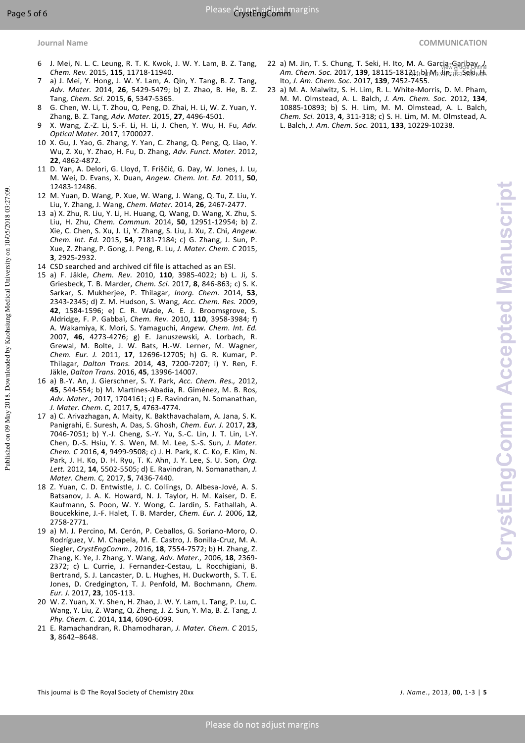Published on 09 May 2018. Downloaded by Kaohsiung Medical University on 10/05/2018 03:27:09.

Published on 09 May 2018. Downloaded by Kaohsiung Medical University on 10/05/2018 03:27:09.

- 
- 6 J. Mei, N. L. C. Leung, R. T. K. Kwok, J. W. Y. Lam, B. Z. Tang, *Chem. Rev.* 2015, **115**, 11718-11940.
- 7 a) J. Mei, Y. Hong, J. W. Y. Lam, A. Qin, Y. Tang, B. Z. Tang, *Adv. Mater.* 2014, **26**, 5429-5479; b) Z. Zhao, B. He, B. Z. Tang, *Chem. Sci.* 2015, **6**, 5347-5365.
- 8 G. Chen, W. Li, T. Zhou, Q. Peng, D. Zhai, H. Li, W. Z. Yuan, Y. Zhang, B. Z. Tang, *Adv. Mater.* 2015, **27**, 4496-4501.
- 9 X. Wang, Z.-Z. Li, S.-F. Li, H. Li, J. Chen, Y. Wu, H. Fu, *Adv. Optical Mater.* 2017, 1700027.
- 10 X. Gu, J. Yao, G. Zhang, Y. Yan, C. Zhang, Q. Peng, Q. Liao, Y. Wu, Z. Xu, Y. Zhao, H. Fu, D. Zhang, *Adv. Funct. Mater.* 2012, **22**, 4862-4872.
- 11 D. Yan, A. Delori, G. Lloyd, T. Friščić, G. Day, W. Jones, J. Lu, M. Wei, D. Evans, X. Duan, *Angew. Chem. Int. Ed.* 2011, **50**, 12483-12486.
- 12 M. Yuan, D. Wang, P. Xue, W. Wang, J. Wang, Q. Tu, Z. Liu, Y. Liu, Y. Zhang, J. Wang, *Chem. Mater.* 2014, **26**, 2467-2477.
- 13 a) X. Zhu, R. Liu, Y. Li, H. Huang, Q. Wang, D. Wang, X. Zhu, S. Liu, H. Zhu, *Chem. Commun.* 2014, **50**, 12951-12954; b) Z. Xie, C. Chen, S. Xu, J. Li, Y. Zhang, S. Liu, J. Xu, Z. Chi, *Angew. Chem. Int. Ed.* 2015, **54**, 7181-7184; c) G. Zhang, J. Sun, P. Xue, Z. Zhang, P. Gong, J. Peng, R. Lu, *J. Mater. Chem. C* 2015, **3**, 2925-2932.
- 14 CSD searched and archived cif file is attached as an ESI.
- 15 a) F. Jäkle, *Chem. Rev.* 2010, **110**, 3985-4022; b) L. Ji, S. Griesbeck, T. B. Marder, *Chem. Sci.* 2017, **8**, 846-863; c) S. K. Sarkar, S. Mukherjee, P. Thilagar, *Inorg. Chem.* 2014, **53**, 2343-2345; d) Z. M. Hudson, S. Wang, *Acc. Chem. Res.* 2009, **42**, 1584-1596; e) C. R. Wade, A. E. J. Broomsgrove, S. Aldridge, F. P. Gabbaï, *Chem. Rev.* 2010, **110**, 3958-3984; f) A. Wakamiya, K. Mori, S. Yamaguchi, *Angew. Chem. Int. Ed.* 2007, **46**, 4273-4276; g) E. Januszewski, A. Lorbach, R. Grewal, M. Bolte, J. W. Bats, H.-W. Lerner, M. Wagner, *Chem. Eur. J.* 2011, **17**, 12696-12705; h) G. R. Kumar, P. Thilagar, *Dalton Trans.* 2014, **43**, 7200-7207; i) Y. Ren, F. Jäkle, *Dalton Trans.* 2016, **45**, 13996-14007.
- 16 a) B.-Y. An, J. Gierschner, S. Y. Park, *Acc. Chem. Res.,* 2012, **45**, 544-554; b) M. Martínes-Abadía, R. Giménez, M. B. Ros, *Adv. Mater.,* 2017, 1704161; c) E. Ravindran, N. Somanathan, *J. Mater. Chem. C,* 2017, **5**, 4763-4774.
- 17 a) C. Arivazhagan, A. Maity, K. Bakthavachalam, A. Jana, S. K. Panigrahi, E. Suresh, A. Das, S. Ghosh, *Chem. Eur. J.* 2017, **23**, 7046-7051; b) Y.-J. Cheng, S.-Y. Yu, S.-C. Lin, J. T. Lin, L-Y. Chen, D.-S. Hsiu, Y. S. Wen, M. M. Lee, S.-S. Sun, *J. Mater. Chem. C* 2016, **4**, 9499-9508; c) J. H. Park, K. C. Ko, E. Kim, N. Park, J. H. Ko, D. H. Ryu, T. K. Ahn, J. Y. Lee, S. U. Son, *Org. Lett.* 2012, **14**, 5502-5505; d) E. Ravindran, N. Somanathan, *J. Mater. Chem. C,* 2017, **5**, 7436-7440.
- 18 Z. Yuan, C. D. Entwistle, J. C. Collings, D. Albesa-Jové, A. S. Batsanov, J. A. K. Howard, N. J. Taylor, H. M. Kaiser, D. E. Kaufmann, S. Poon, W. Y. Wong, C. Jardin, S. Fathallah, A. Boucekkine, J.-F. Halet, T. B. Marder, *Chem. Eur. J.* 2006, **12**, 2758-2771.
- 19 a) M. J. Percino, M. Cerón, P. Ceballos, G. Soriano-Moro, O. Rodríguez, V. M. Chapela, M. E. Castro, J. Bonilla-Cruz, M. A. Siegler, *CrystEngComm.,* 2016, **18**, 7554-7572; b) H. Zhang, Z. Zhang, K. Ye, J. Zhang, Y. Wang, *Adv. Mater.,* 2006, **18**, 2369- 2372; c) L. Currie, J. Fernandez-Cestau, L. Rocchigiani, B. Bertrand, S. J. Lancaster, D. L. Hughes, H. Duckworth, S. T. E. Jones, D. Credgington, T. J. Penfold, M. Bochmann, *Chem. Eur. J.* 2017, **23**, 105-113.
- 20 W. Z. Yuan, X. Y. Shen, H. Zhao, J. W. Y. Lam, L. Tang, P. Lu, C. Wang, Y. Liu, Z. Wang, Q. Zheng, J. Z. Sun, Y. Ma, B. Z. Tang, *J. Phy. Chem. C.* 2014, **114**, 6090-6099.
- 21 E. Ramachandran, R. Dhamodharan, *J. Mater. Chem. C* 2015, **3**, 8642–8648.
- 22 a) M. Jin, T. S. Chung, T. Seki, H. Ito, M. A. Garcia-Garibay, *J.*  **Am. Chem. Soc. 2017, <b>139**, 18115-18123; b) M Jiew Article Online Ito, *J. Am. Chem. Soc.* 2017, **139**, 7452-7455.
- 23 a) M. A. Malwitz, S. H. Lim, R. L. White-Morris, D. M. Pham, M. M. Olmstead, A. L. Balch, *J. Am. Chem. Soc.* 2012, **134**, 10885-10893; b) S. H. Lim, M. M. Olmstead, A. L. Balch, *Chem. Sci.* 2013, **4**, 311-318; c) S. H. Lim, M. M. Olmstead, A. L. Balch, *J. Am. Chem. Soc.* 2011, **133**, 10229-10238.